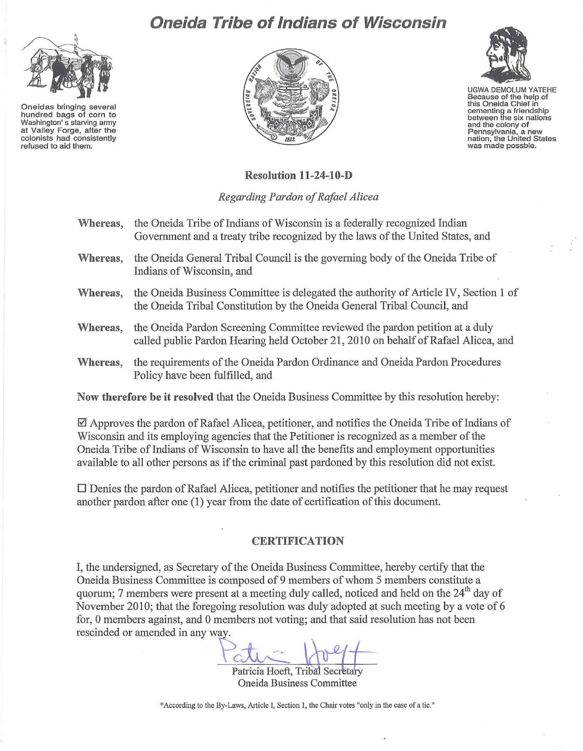## **Oneida Tribe of Indians of Wisconsin**



**Oneidas bringing several hundred bags of corn to Washington's starving army at Valley Forge, after the colonists had consistently refused to aid them,** 





UGWA DEMOLUM YATEHE **Because of the help of this Oneida Chief in cementing a friendship between the six nations and the colony of Pennsylvania, a new nation, the United States was made possble.** 

## **Resolution 11-24-10-D**

*Regarding Pardon of Rafael Alicea* 

- Whereas, the Oneida Tribe of Indians of Wisconsin is a federally recognized Indian Government and a treaty tribe recognized by the laws of the United States, and
- **Whereas,** the Oneida General Tribal Council is the governing body of the Oneida Tribe of Indians of Wisconsin, and
- **Whereas,** the Oneida Business Committee is delegated the authority of Article IV, Section 1 of the Oneida Tribal Constitution by the Oneida General Tribal Council, and
- **Whereas,** the Oneida Pardon Screening Committee reviewed the pardon petition at a duly called public Pardon Hearing held October 21,2010 on behalf of Rafael Alicea, and
- **Whereas,** the requirements of the Oneida Pardon Ordinance and Oneida Pardon Procedures Policy have been fulfilled, and

**Now therefore be it resolved** that the Oneida Business Committee by this resolution hereby:

 $\boxtimes$  Approves the pardon of Rafael Alicea, petitioner, and notifies the Oneida Tribe of Indians of Wisconsin and its employing agencies that the Petitioner is recognized as a member of the Oneida Tribe of Indians of Wisconsin to have all the benefits and employment opportunities available to all other persons as if the criminal past pardoned by this resolution did not exist.

 $\Box$  Denies the pardon of Rafael Alicea, petitioner and notifies the petitioner that he may request another pardon after one (1) year from the date of certification of this document.

## **CERTIFICATION**

I, the undersigned, as Secretary of the Oneida Business Committee, hereby certify that the Oneida Business Committee is composed of 9 members of whom 5 members constitute a quorum; 7 members were present at a meeting duly called, noticed and held on the 24<sup>th</sup> day of November 2010; that the foregoing resolution was duly adopted at such meeting by a vote of 6 for, 0 members against, and 0 members not voting; and that said resolution has not been rescinded or amended in any way.

Oneida Business Tribal Secrétary<br>ess Committee

**\*According to the By-Laws, Article I, Section 1. the Chair votes "only in the case of a tie."**